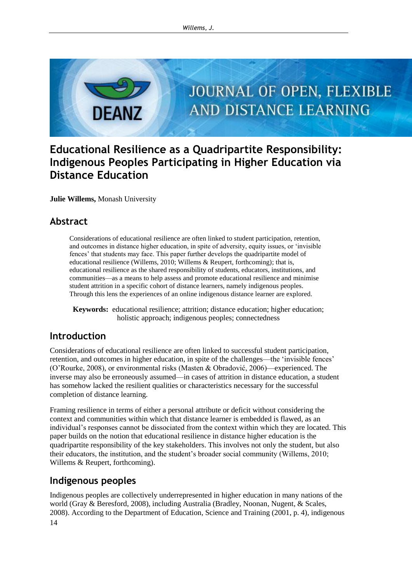

# **Educational Resilience as a Quadripartite Responsibility: Indigenous Peoples Participating in Higher Education via Distance Education**

**Julie Willems,** Monash University

### **Abstract**

Considerations of educational resilience are often linked to student participation, retention, and outcomes in distance higher education, in spite of adversity, equity issues, or 'invisible fences' that students may face. This paper further develops the quadripartite model of educational resilience (Willems, 2010; Willems & Reupert, forthcoming); that is, educational resilience as the shared responsibility of students, educators, institutions, and communities—as a means to help assess and promote educational resilience and minimise student attrition in a specific cohort of distance learners, namely indigenous peoples. Through this lens the experiences of an online indigenous distance learner are explored.

**Keywords:** educational resilience; attrition; distance education; higher education; holistic approach; indigenous peoples; connectedness

# **Introduction**

Considerations of educational resilience are often linked to successful student participation, retention, and outcomes in higher education, in spite of the challenges—the 'invisible fences' (O'Rourke, 2008), or environmental risks (Masten & Obradović, 2006)—experienced. The inverse may also be erroneously assumed—in cases of attrition in distance education, a student has somehow lacked the resilient qualities or characteristics necessary for the successful completion of distance learning.

Framing resilience in terms of either a personal attribute or deficit without considering the context and communities within which that distance learner is embedded is flawed, as an individual's responses cannot be dissociated from the context within which they are located. This paper builds on the notion that educational resilience in distance higher education is the quadripartite responsibility of the key stakeholders. This involves not only the student, but also their educators, the institution, and the student's broader social community (Willems, 2010; Willems & Reupert, forthcoming).

# **Indigenous peoples**

14 Indigenous peoples are collectively underrepresented in higher education in many nations of the world (Gray & Beresford, 2008), including Australia (Bradley, Noonan, Nugent, & Scales, 2008). According to the Department of Education, Science and Training (2001, p. 4), indigenous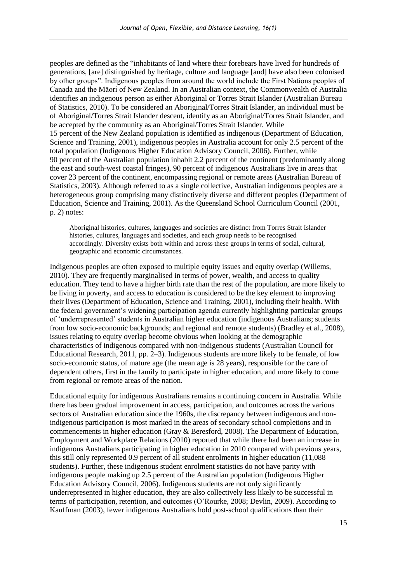peoples are defined as the "inhabitants of land where their forebears have lived for hundreds of generations, [are] distinguished by heritage, culture and language [and] have also been colonised by other groups". Indigenous peoples from around the world include the First Nations peoples of Canada and the Māori of New Zealand. In an Australian context, the Commonwealth of Australia identifies an indigenous person as either Aboriginal or Torres Strait Islander (Australian Bureau of Statistics, 2010). To be considered an Aboriginal/Torres Strait Islander, an individual must be of Aboriginal/Torres Strait Islander descent, identify as an Aboriginal/Torres Strait Islander, and be accepted by the community as an Aboriginal/Torres Strait Islander. While 15 percent of the New Zealand population is identified as indigenous (Department of Education, Science and Training, 2001), indigenous peoples in Australia account for only 2.5 percent of the total population (Indigenous Higher Education Advisory Council, 2006). Further, while 90 percent of the Australian population inhabit 2.2 percent of the continent (predominantly along the east and south-west coastal fringes), 90 percent of indigenous Australians live in areas that cover 23 percent of the continent, encompassing regional or remote areas (Australian Bureau of Statistics, 2003). Although referred to as a single collective, Australian indigenous peoples are a heterogeneous group comprising many distinctively diverse and different peoples (Department of Education, Science and Training, 2001). As the Queensland School Curriculum Council (2001, p. 2) notes:

Aboriginal histories, cultures, languages and societies are distinct from Torres Strait Islander histories, cultures, languages and societies, and each group needs to be recognised accordingly. Diversity exists both within and across these groups in terms of social, cultural, geographic and economic circumstances.

Indigenous peoples are often exposed to multiple equity issues and equity overlap (Willems, 2010). They are frequently marginalised in terms of power, wealth, and access to quality education. They tend to have a higher birth rate than the rest of the population, are more likely to be living in poverty, and access to education is considered to be the key element to improving their lives (Department of Education, Science and Training, 2001), including their health. With the federal government's widening participation agenda currently highlighting particular groups of 'underrepresented' students in Australian higher education (indigenous Australians; students from low socio-economic backgrounds; and regional and remote students) (Bradley et al., 2008), issues relating to equity overlap become obvious when looking at the demographic characteristics of indigenous compared with non-indigenous students (Australian Council for Educational Research, 2011, pp. 2–3). Indigenous students are more likely to be female, of low socio-economic status, of mature age (the mean age is 28 years), responsible for the care of dependent others, first in the family to participate in higher education, and more likely to come from regional or remote areas of the nation.

Educational equity for indigenous Australians remains a continuing concern in Australia. While there has been gradual improvement in access, participation, and outcomes across the various sectors of Australian education since the 1960s, the discrepancy between indigenous and nonindigenous participation is most marked in the areas of secondary school completions and in commencements in higher education (Gray & Beresford, 2008). The Department of Education, Employment and Workplace Relations (2010) reported that while there had been an increase in indigenous Australians participating in higher education in 2010 compared with previous years, this still only represented 0.9 percent of all student enrolments in higher education (11,088 students). Further, these indigenous student enrolment statistics do not have parity with indigenous people making up 2.5 percent of the Australian population (Indigenous Higher Education Advisory Council, 2006). Indigenous students are not only significantly underrepresented in higher education, they are also collectively less likely to be successful in terms of participation, retention, and outcomes (O'Rourke, 2008; Devlin, 2009). According to Kauffman (2003), fewer indigenous Australians hold post-school qualifications than their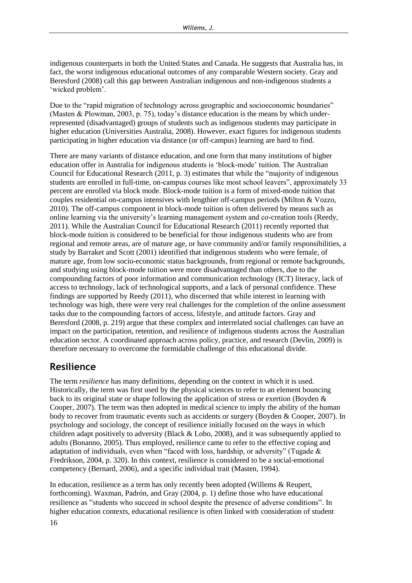indigenous counterparts in both the United States and Canada. He suggests that Australia has, in fact, the worst indigenous educational outcomes of any comparable Western society. Gray and Beresford (2008) call this gap between Australian indigenous and non-indigenous students a 'wicked problem'.

Due to the "rapid migration of technology across geographic and socioeconomic boundaries" (Masten & Plowman, 2003, p. 75), today's distance education is the means by which underrepresented (disadvantaged) groups of students such as indigenous students may participate in higher education (Universities Australia, 2008). However, exact figures for indigenous students participating in higher education via distance (or off-campus) learning are hard to find.

There are many variants of distance education, and one form that many institutions of higher education offer in Australia for indigenous students is 'block-mode' tuition. The Australian Council for Educational Research (2011, p. 3) estimates that while the "majority of indigenous students are enrolled in full-time, on-campus courses like most school leavers", approximately 33 percent are enrolled via block mode. Block-mode tuition is a form of mixed-mode tuition that couples residential on-campus intensives with lengthier off-campus periods (Milton & Vozzo, 2010). The off-campus component in block-mode tuition is often delivered by means such as online learning via the university's learning management system and co-creation tools (Reedy, 2011). While the Australian Council for Educational Research (2011) recently reported that block-mode tuition is considered to be beneficial for those indigenous students who are from regional and remote areas, are of mature age, or have community and/or family responsibilities, a study by Barraket and Scott (2001) identified that indigenous students who were female, of mature age, from low socio-economic status backgrounds, from regional or remote backgrounds, and studying using block-mode tuition were more disadvantaged than others, due to the compounding factors of poor information and communication technology (ICT) literacy, lack of access to technology, lack of technological supports, and a lack of personal confidence. These findings are supported by Reedy (2011), who discerned that while interest in learning with technology was high, there were very real challenges for the completion of the online assessment tasks due to the compounding factors of access, lifestyle, and attitude factors. Gray and Beresford (2008, p. 219) argue that these complex and interrelated social challenges can have an impact on the participation, retention, and resilience of indigenous students across the Australian education sector. A coordinated approach across policy, practice, and research (Devlin, 2009) is therefore necessary to overcome the formidable challenge of this educational divide.

# **Resilience**

The term *resilience* has many definitions, depending on the context in which it is used. Historically, the term was first used by the physical sciences to refer to an element bouncing back to its original state or shape following the application of stress or exertion (Boyden & Cooper, 2007). The term was then adopted in medical science to imply the ability of the human body to recover from traumatic events such as accidents or surgery (Boyden & Cooper, 2007). In psychology and sociology, the concept of resilience initially focused on the ways in which children adapt positively to adversity (Black & Lobo, 2008), and it was subsequently applied to adults (Bonanno, 2005). Thus employed, resilience came to refer to the effective coping and adaptation of individuals, even when "faced with loss, hardship, or adversity" (Tugade & Fredrikson, 2004, p. 320). In this context, resilience is considered to be a social-emotional competency (Bernard, 2006), and a specific individual trait (Masten, 1994).

In education, resilience as a term has only recently been adopted (Willems & Reupert, forthcoming). Waxman, Padrón, and Gray (2004, p. 1) define those who have educational resilience as "students who succeed in school despite the presence of adverse conditions". In higher education contexts, educational resilience is often linked with consideration of student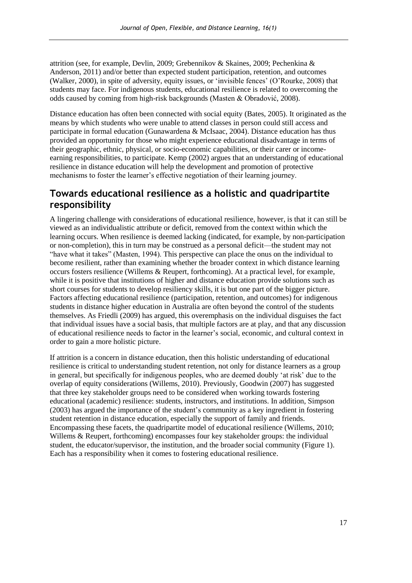attrition (see, for example, Devlin, 2009; Grebennikov & Skaines, 2009; Pechenkina & Anderson, 2011) and/or better than expected student participation, retention, and outcomes (Walker, 2000), in spite of adversity, equity issues, or 'invisible fences' (O'Rourke, 2008) that students may face. For indigenous students, educational resilience is related to overcoming the odds caused by coming from high-risk backgrounds (Masten & Obradović, 2008).

Distance education has often been connected with social equity (Bates, 2005). It originated as the means by which students who were unable to attend classes in person could still access and participate in formal education (Gunawardena & McIsaac, 2004). Distance education has thus provided an opportunity for those who might experience educational disadvantage in terms of their geographic, ethnic, physical, or socio-economic capabilities, or their carer or incomeearning responsibilities, to participate. Kemp (2002) argues that an understanding of educational resilience in distance education will help the development and promotion of protective mechanisms to foster the learner's effective negotiation of their learning journey.

### **Towards educational resilience as a holistic and quadripartite responsibility**

A lingering challenge with considerations of educational resilience, however, is that it can still be viewed as an individualistic attribute or deficit, removed from the context within which the learning occurs. When resilience is deemed lacking (indicated, for example, by non-participation or non-completion), this in turn may be construed as a personal deficit—the student may not "have what it takes" (Masten, 1994). This perspective can place the onus on the individual to become resilient, rather than examining whether the broader context in which distance learning occurs fosters resilience (Willems & Reupert, forthcoming). At a practical level, for example, while it is positive that institutions of higher and distance education provide solutions such as short courses for students to develop resiliency skills, it is but one part of the bigger picture. Factors affecting educational resilience (participation, retention, and outcomes) for indigenous students in distance higher education in Australia are often beyond the control of the students themselves. As Friedli (2009) has argued, this overemphasis on the individual disguises the fact that individual issues have a social basis, that multiple factors are at play, and that any discussion of educational resilience needs to factor in the learner's social, economic, and cultural context in order to gain a more holistic picture.

If attrition is a concern in distance education, then this holistic understanding of educational resilience is critical to understanding student retention, not only for distance learners as a group in general, but specifically for indigenous peoples, who are deemed doubly 'at risk' due to the overlap of equity considerations (Willems, 2010). Previously, Goodwin (2007) has suggested that three key stakeholder groups need to be considered when working towards fostering educational (academic) resilience: students, instructors, and institutions. In addition, Simpson (2003) has argued the importance of the student's community as a key ingredient in fostering student retention in distance education, especially the support of family and friends. Encompassing these facets, the quadripartite model of educational resilience (Willems, 2010; Willems & Reupert, forthcoming) encompasses four key stakeholder groups: the individual student, the educator/supervisor, the institution, and the broader social community (Figure 1). Each has a responsibility when it comes to fostering educational resilience.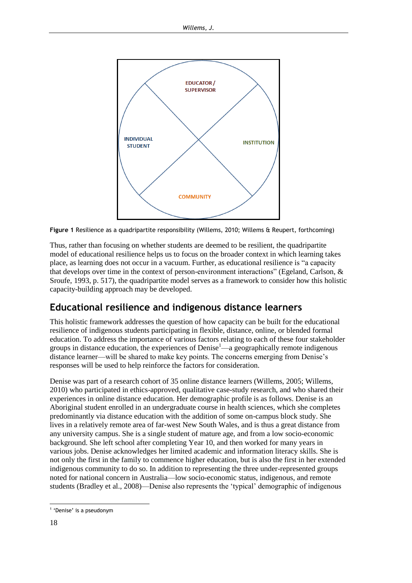

**Figure 1** Resilience as a quadripartite responsibility (Willems, 2010; Willems & Reupert, forthcoming)

Thus, rather than focusing on whether students are deemed to be resilient, the quadripartite model of educational resilience helps us to focus on the broader context in which learning takes place, as learning does not occur in a vacuum. Further, as educational resilience is "a capacity that develops over time in the context of person-environment interactions" (Egeland, Carlson, & Sroufe, 1993, p. 517), the quadripartite model serves as a framework to consider how this holistic capacity-building approach may be developed.

# **Educational resilience and indigenous distance learners**

This holistic framework addresses the question of how capacity can be built for the educational resilience of indigenous students participating in flexible, distance, online, or blended formal education. To address the importance of various factors relating to each of these four stakeholder groups in distance education, the experiences of Denise<sup>1</sup>—a geographically remote indigenous distance learner—will be shared to make key points. The concerns emerging from Denise's responses will be used to help reinforce the factors for consideration.

Denise was part of a research cohort of 35 online distance learners (Willems, 2005; Willems, 2010) who participated in ethics-approved, qualitative case-study research, and who shared their experiences in online distance education. Her demographic profile is as follows. Denise is an Aboriginal student enrolled in an undergraduate course in health sciences, which she completes predominantly via distance education with the addition of some on-campus block study. She lives in a relatively remote area of far-west New South Wales, and is thus a great distance from any university campus. She is a single student of mature age, and from a low socio-economic background. She left school after completing Year 10, and then worked for many years in various jobs. Denise acknowledges her limited academic and information literacy skills. She is not only the first in the family to commence higher education, but is also the first in her extended indigenous community to do so. In addition to representing the three under-represented groups noted for national concern in Australia—low socio-economic status, indigenous, and remote students (Bradley et al., 2008)—Denise also represents the 'typical' demographic of indigenous

<sup>-</sup><sup>1</sup> 'Denise' is a pseudonym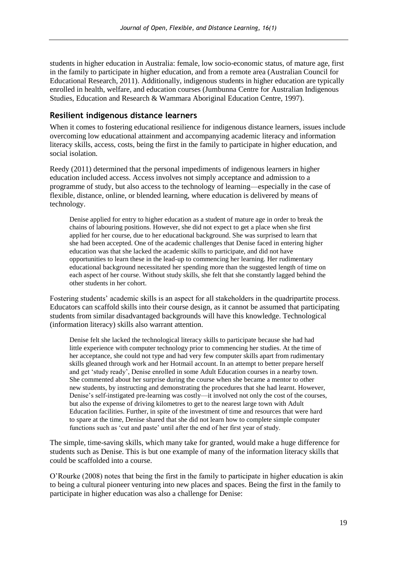students in higher education in Australia: female, low socio-economic status, of mature age, first in the family to participate in higher education, and from a remote area (Australian Council for Educational Research, 2011). Additionally, indigenous students in higher education are typically enrolled in health, welfare, and education courses (Jumbunna Centre for Australian Indigenous Studies, Education and Research & Wammara Aboriginal Education Centre, 1997).

### **Resilient indigenous distance learners**

When it comes to fostering educational resilience for indigenous distance learners, issues include overcoming low educational attainment and accompanying academic literacy and information literacy skills, access, costs, being the first in the family to participate in higher education, and social isolation.

Reedy (2011) determined that the personal impediments of indigenous learners in higher education included access. Access involves not simply acceptance and admission to a programme of study, but also access to the technology of learning—especially in the case of flexible, distance, online, or blended learning, where education is delivered by means of technology.

Denise applied for entry to higher education as a student of mature age in order to break the chains of labouring positions. However, she did not expect to get a place when she first applied for her course, due to her educational background. She was surprised to learn that she had been accepted. One of the academic challenges that Denise faced in entering higher education was that she lacked the academic skills to participate, and did not have opportunities to learn these in the lead-up to commencing her learning. Her rudimentary educational background necessitated her spending more than the suggested length of time on each aspect of her course. Without study skills, she felt that she constantly lagged behind the other students in her cohort.

Fostering students' academic skills is an aspect for all stakeholders in the quadripartite process. Educators can scaffold skills into their course design, as it cannot be assumed that participating students from similar disadvantaged backgrounds will have this knowledge. Technological (information literacy) skills also warrant attention.

Denise felt she lacked the technological literacy skills to participate because she had had little experience with computer technology prior to commencing her studies. At the time of her acceptance, she could not type and had very few computer skills apart from rudimentary skills gleaned through work and her Hotmail account. In an attempt to better prepare herself and get 'study ready', Denise enrolled in some Adult Education courses in a nearby town. She commented about her surprise during the course when she became a mentor to other new students, by instructing and demonstrating the procedures that she had learnt. However, Denise's self-instigated pre-learning was costly—it involved not only the cost of the courses, but also the expense of driving kilometres to get to the nearest large town with Adult Education facilities. Further, in spite of the investment of time and resources that were hard to spare at the time, Denise shared that she did not learn how to complete simple computer functions such as 'cut and paste' until after the end of her first year of study.

The simple, time-saving skills, which many take for granted, would make a huge difference for students such as Denise. This is but one example of many of the information literacy skills that could be scaffolded into a course.

O'Rourke (2008) notes that being the first in the family to participate in higher education is akin to being a cultural pioneer venturing into new places and spaces. Being the first in the family to participate in higher education was also a challenge for Denise: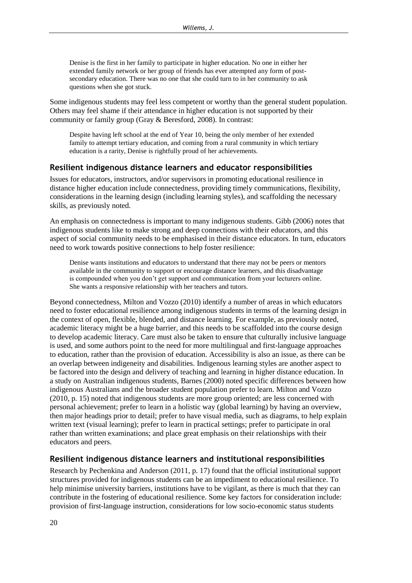Denise is the first in her family to participate in higher education. No one in either her extended family network or her group of friends has ever attempted any form of postsecondary education. There was no one that she could turn to in her community to ask questions when she got stuck.

Some indigenous students may feel less competent or worthy than the general student population. Others may feel shame if their attendance in higher education is not supported by their community or family group (Gray & Beresford, 2008). In contrast:

Despite having left school at the end of Year 10, being the only member of her extended family to attempt tertiary education, and coming from a rural community in which tertiary education is a rarity, Denise is rightfully proud of her achievements.

#### **Resilient indigenous distance learners and educator responsibilities**

Issues for educators, instructors, and/or supervisors in promoting educational resilience in distance higher education include connectedness, providing timely communications, flexibility, considerations in the learning design (including learning styles), and scaffolding the necessary skills, as previously noted.

An emphasis on connectedness is important to many indigenous students. Gibb (2006) notes that indigenous students like to make strong and deep connections with their educators, and this aspect of social community needs to be emphasised in their distance educators. In turn, educators need to work towards positive connections to help foster resilience:

Denise wants institutions and educators to understand that there may not be peers or mentors available in the community to support or encourage distance learners, and this disadvantage is compounded when you don't get support and communication from your lecturers online. She wants a responsive relationship with her teachers and tutors.

Beyond connectedness, Milton and Vozzo (2010) identify a number of areas in which educators need to foster educational resilience among indigenous students in terms of the learning design in the context of open, flexible, blended, and distance learning. For example, as previously noted, academic literacy might be a huge barrier, and this needs to be scaffolded into the course design to develop academic literacy. Care must also be taken to ensure that culturally inclusive language is used, and some authors point to the need for more multilingual and first-language approaches to education, rather than the provision of education. Accessibility is also an issue, as there can be an overlap between indigeneity and disabilities. Indigenous learning styles are another aspect to be factored into the design and delivery of teaching and learning in higher distance education. In a study on Australian indigenous students, Barnes (2000) noted specific differences between how indigenous Australians and the broader student population prefer to learn. Milton and Vozzo (2010, p. 15) noted that indigenous students are more group oriented; are less concerned with personal achievement; prefer to learn in a holistic way (global learning) by having an overview, then major headings prior to detail; prefer to have visual media, such as diagrams, to help explain written text (visual learning); prefer to learn in practical settings; prefer to participate in oral rather than written examinations; and place great emphasis on their relationships with their educators and peers.

### **Resilient indigenous distance learners and institutional responsibilities**

Research by Pechenkina and Anderson (2011, p. 17) found that the official institutional support structures provided for indigenous students can be an impediment to educational resilience. To help minimise university barriers, institutions have to be vigilant, as there is much that they can contribute in the fostering of educational resilience. Some key factors for consideration include: provision of first-language instruction, considerations for low socio-economic status students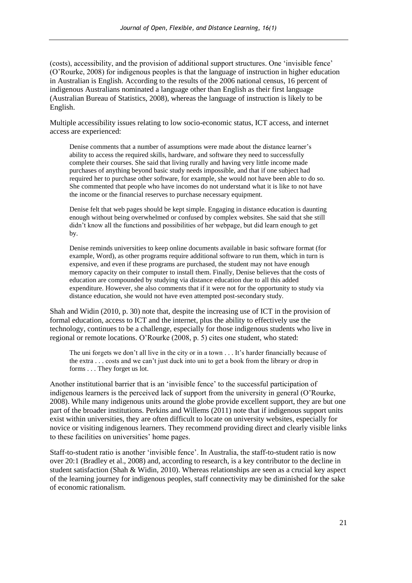(costs), accessibility, and the provision of additional support structures. One 'invisible fence' (O'Rourke, 2008) for indigenous peoples is that the language of instruction in higher education in Australian is English. According to the results of the 2006 national census, 16 percent of indigenous Australians nominated a language other than English as their first language (Australian Bureau of Statistics, 2008), whereas the language of instruction is likely to be English.

Multiple accessibility issues relating to low socio-economic status, ICT access, and internet access are experienced:

Denise comments that a number of assumptions were made about the distance learner's ability to access the required skills, hardware, and software they need to successfully complete their courses. She said that living rurally and having very little income made purchases of anything beyond basic study needs impossible, and that if one subject had required her to purchase other software, for example, she would not have been able to do so. She commented that people who have incomes do not understand what it is like to not have the income or the financial reserves to purchase necessary equipment.

Denise felt that web pages should be kept simple. Engaging in distance education is daunting enough without being overwhelmed or confused by complex websites. She said that she still didn't know all the functions and possibilities of her webpage, but did learn enough to get by.

Denise reminds universities to keep online documents available in basic software format (for example, Word), as other programs require additional software to run them, which in turn is expensive, and even if these programs are purchased, the student may not have enough memory capacity on their computer to install them. Finally, Denise believes that the costs of education are compounded by studying via distance education due to all this added expenditure. However, she also comments that if it were not for the opportunity to study via distance education, she would not have even attempted post-secondary study.

Shah and Widin (2010, p. 30) note that, despite the increasing use of ICT in the provision of formal education, access to ICT and the internet, plus the ability to effectively use the technology, continues to be a challenge, especially for those indigenous students who live in regional or remote locations. O'Rourke (2008, p. 5) cites one student, who stated:

The uni forgets we don't all live in the city or in a town . . . It's harder financially because of the extra . . . costs and we can't just duck into uni to get a book from the library or drop in forms . . . They forget us lot.

Another institutional barrier that is an 'invisible fence' to the successful participation of indigenous learners is the perceived lack of support from the university in general (O'Rourke, 2008). While many indigenous units around the globe provide excellent support, they are but one part of the broader institutions. Perkins and Willems (2011) note that if indigenous support units exist within universities, they are often difficult to locate on university websites, especially for novice or visiting indigenous learners. They recommend providing direct and clearly visible links to these facilities on universities' home pages.

Staff-to-student ratio is another 'invisible fence'. In Australia, the staff-to-student ratio is now over 20:1 (Bradley et al., 2008) and, according to research, is a key contributor to the decline in student satisfaction (Shah & Widin, 2010). Whereas relationships are seen as a crucial key aspect of the learning journey for indigenous peoples, staff connectivity may be diminished for the sake of economic rationalism.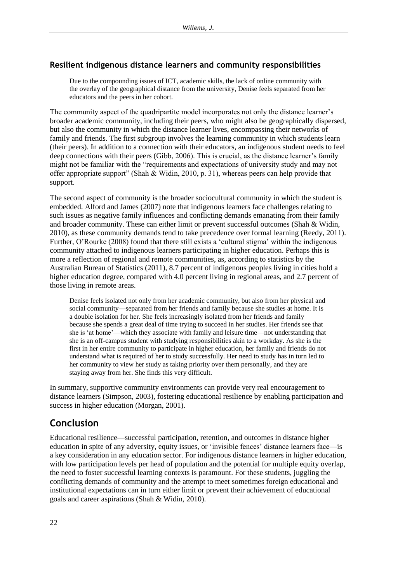### **Resilient indigenous distance learners and community responsibilities**

Due to the compounding issues of ICT, academic skills, the lack of online community with the overlay of the geographical distance from the university, Denise feels separated from her educators and the peers in her cohort.

The community aspect of the quadripartite model incorporates not only the distance learner's broader academic community, including their peers, who might also be geographically dispersed, but also the community in which the distance learner lives, encompassing their networks of family and friends. The first subgroup involves the learning community in which students learn (their peers). In addition to a connection with their educators, an indigenous student needs to feel deep connections with their peers (Gibb, 2006). This is crucial, as the distance learner's family might not be familiar with the "requirements and expectations of university study and may not offer appropriate support" (Shah & Widin, 2010, p. 31), whereas peers can help provide that support.

The second aspect of community is the broader sociocultural community in which the student is embedded. Alford and James (2007) note that indigenous learners face challenges relating to such issues as negative family influences and conflicting demands emanating from their family and broader community. These can either limit or prevent successful outcomes (Shah & Widin, 2010), as these community demands tend to take precedence over formal learning (Reedy, 2011). Further, O'Rourke (2008) found that there still exists a 'cultural stigma' within the indigenous community attached to indigenous learners participating in higher education. Perhaps this is more a reflection of regional and remote communities, as, according to statistics by the Australian Bureau of Statistics (2011), 8.7 percent of indigenous peoples living in cities hold a higher education degree, compared with 4.0 percent living in regional areas, and 2.7 percent of those living in remote areas.

Denise feels isolated not only from her academic community, but also from her physical and social community—separated from her friends and family because she studies at home. It is a double isolation for her. She feels increasingly isolated from her friends and family because she spends a great deal of time trying to succeed in her studies. Her friends see that she is 'at home'—which they associate with family and leisure time—not understanding that she is an off-campus student with studying responsibilities akin to a workday. As she is the first in her entire community to participate in higher education, her family and friends do not understand what is required of her to study successfully. Her need to study has in turn led to her community to view her study as taking priority over them personally, and they are staying away from her. She finds this very difficult.

In summary, supportive community environments can provide very real encouragement to distance learners (Simpson, 2003), fostering educational resilience by enabling participation and success in higher education (Morgan, 2001).

### **Conclusion**

Educational resilience—successful participation, retention, and outcomes in distance higher education in spite of any adversity, equity issues, or 'invisible fences' distance learners face—is a key consideration in any education sector. For indigenous distance learners in higher education, with low participation levels per head of population and the potential for multiple equity overlap, the need to foster successful learning contexts is paramount. For these students, juggling the conflicting demands of community and the attempt to meet sometimes foreign educational and institutional expectations can in turn either limit or prevent their achievement of educational goals and career aspirations (Shah & Widin, 2010).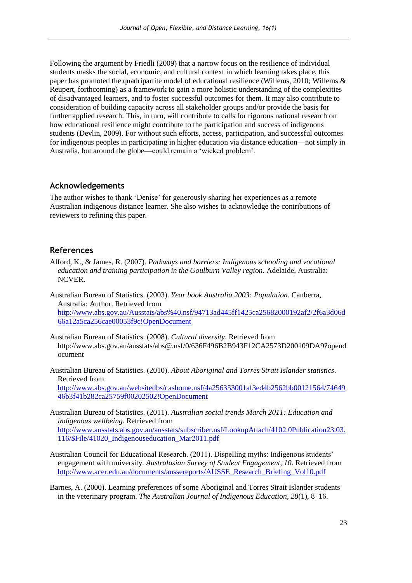Following the argument by Friedli (2009) that a narrow focus on the resilience of individual students masks the social, economic, and cultural context in which learning takes place, this paper has promoted the quadripartite model of educational resilience (Willems, 2010; Willems & Reupert, forthcoming) as a framework to gain a more holistic understanding of the complexities of disadvantaged learners, and to foster successful outcomes for them. It may also contribute to consideration of building capacity across all stakeholder groups and/or provide the basis for further applied research. This, in turn, will contribute to calls for rigorous national research on how educational resilience might contribute to the participation and success of indigenous students (Devlin, 2009). For without such efforts, access, participation, and successful outcomes for indigenous peoples in participating in higher education via distance education—not simply in Australia, but around the globe—could remain a 'wicked problem'.

#### **Acknowledgements**

The author wishes to thank 'Denise' for generously sharing her experiences as a remote Australian indigenous distance learner. She also wishes to acknowledge the contributions of reviewers to refining this paper.

#### **References**

- Alford, K., & James, R. (2007). *Pathways and barriers: Indigenous schooling and vocational education and training participation in the Goulburn Valley region*. Adelaide, Australia: NCVER.
- Australian Bureau of Statistics. (2003). *Year book Australia 2003: Population*. Canberra, Australia: Author. Retrieved from [http://www.abs.gov.au/Ausstats/abs%40.nsf/94713ad445ff1425ca25682000192af2/2f6a3d06d](http://www.abs.gov.au/Ausstats/abs%40.nsf/94713ad445ff1425ca25682000192af2/2f6a3d06d66a12a5ca256cae00053f9c!OpenDocument) [66a12a5ca256cae00053f9c!OpenDocument](http://www.abs.gov.au/Ausstats/abs%40.nsf/94713ad445ff1425ca25682000192af2/2f6a3d06d66a12a5ca256cae00053f9c!OpenDocument)
- Australian Bureau of Statistics. (2008). *Cultural diversity*. Retrieved from http://www.abs.gov.au/ausstats/abs@.nsf/0/636F496B2B943F12CA2573D200109DA9?opend ocument
- Australian Bureau of Statistics. (2010). *About Aboriginal and Torres Strait Islander statistics*. Retrieved from [http://www.abs.gov.au/websitedbs/cashome.nsf/4a256353001af3ed4b2562bb00121564/74649](http://www.abs.gov.au/websitedbs/cashome.nsf/4a256353001af3ed4b2562bb00121564/7464946b3f41b282ca25759f00202502!OpenDocument) [46b3f41b282ca25759f00202502!OpenDocument](http://www.abs.gov.au/websitedbs/cashome.nsf/4a256353001af3ed4b2562bb00121564/7464946b3f41b282ca25759f00202502!OpenDocument)
- Australian Bureau of Statistics. (2011). *Australian social trends March 2011: Education and indigenous wellbeing*. Retrieved from [http://www.ausstats.abs.gov.au/ausstats/subscriber.nsf/LookupAttach/4102.0Publication23.03.](http://www.ausstats.abs.gov.au/ausstats/subscriber.nsf/LookupAttach/4102.0Publication23.03.116/$File/41020_Indigenouseducation_Mar2011.pdf) [116/\\$File/41020\\_Indigenouseducation\\_Mar2011.pdf](http://www.ausstats.abs.gov.au/ausstats/subscriber.nsf/LookupAttach/4102.0Publication23.03.116/$File/41020_Indigenouseducation_Mar2011.pdf)
- Australian Council for Educational Research. (2011). Dispelling myths: Indigenous students' engagement with university. *Australasian Survey of Student Engagement, 10*. Retrieved from [http://www.acer.edu.au/documents/aussereports/AUSSE\\_Research\\_Briefing\\_Vol10.pdf](http://www.acer.edu.au/documents/aussereports/AUSSE_Research_Briefing_Vol10.pdf)
- Barnes, A. (2000). Learning preferences of some Aboriginal and Torres Strait Islander students in the veterinary program. *The Australian Journal of Indigenous Education, 28*(1), 8–16.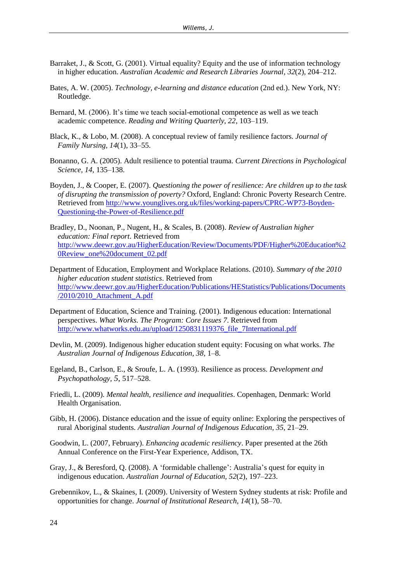- Barraket, J., & Scott, G. (2001). Virtual equality? Equity and the use of information technology in higher education. *Australian Academic and Research Libraries Journal*, *32*(2), 204–212.
- Bates, A. W. (2005). *Technology, e-learning and distance education* (2nd ed.). New York, NY: Routledge.
- Bernard, M. (2006). It's time we teach social-emotional competence as well as we teach academic competence. *Reading and Writing Quarterly, 22*, 103–119.
- Black, K., & Lobo, M. (2008). A conceptual review of family resilience factors. *Journal of Family Nursing, 14*(1), 33–55.
- Bonanno, G. A. (2005). Adult resilience to potential trauma. *Current Directions in Psychological Science, 14*, 135–138.
- Boyden, J., & Cooper, E. (2007). *Questioning the power of resilience: Are children up to the task of disrupting the transmission of poverty?* Oxford, England: Chronic Poverty Research Centre. Retrieved from [http://www.younglives.org.uk/files/working-papers/CPRC-WP73-Boyden-](http://www.younglives.org.uk/files/working-papers/CPRC-WP73-Boyden-Questioning-the-Power-of-Resilience.pdf)[Questioning-the-Power-of-Resilience.pdf](http://www.younglives.org.uk/files/working-papers/CPRC-WP73-Boyden-Questioning-the-Power-of-Resilience.pdf)
- Bradley, D., Noonan, P., Nugent, H., & Scales, B. (2008). *Review of Australian higher education: Final report*. Retrieved from [http://www.deewr.gov.au/HigherEducation/Review/Documents/PDF/Higher%20Education%2](http://www.deewr.gov.au/HigherEducation/Review/Documents/PDF/Higher%20Education%20Review_one%20document_02.pdf) [0Review\\_one%20document\\_02.pdf](http://www.deewr.gov.au/HigherEducation/Review/Documents/PDF/Higher%20Education%20Review_one%20document_02.pdf)
- Department of Education, Employment and Workplace Relations. (2010). *Summary of the 2010 higher education student statistics*. Retrieved from [http://www.deewr.gov.au/HigherEducation/Publications/HEStatistics/Publications/Documents](http://www.deewr.gov.au/HigherEducation/Publications/HEStatistics/Publications/Documents/2010/2010_Attachment_A.pdf) [/2010/2010\\_Attachment\\_A.pdf](http://www.deewr.gov.au/HigherEducation/Publications/HEStatistics/Publications/Documents/2010/2010_Attachment_A.pdf)
- Department of Education, Science and Training. (2001). Indigenous education: International perspectives. *What Works. The Program: Core Issues 7*. Retrieved from [http://www.whatworks.edu.au/upload/1250831119376\\_file\\_7International.pdf](http://www.whatworks.edu.au/upload/1250831119376_file_7International.pdf)
- Devlin, M. (2009). Indigenous higher education student equity: Focusing on what works. *The Australian Journal of Indigenous Education, 38*, 1–8.
- Egeland, B., Carlson, E., & Sroufe, L. A. (1993). Resilience as process. *Development and Psychopathology, 5*, 517–528.
- Friedli, L. (2009). *Mental health, resilience and inequalities*. Copenhagen, Denmark: World Health Organisation.
- Gibb, H. (2006). Distance education and the issue of equity online: Exploring the perspectives of rural Aboriginal students. *Australian Journal of Indigenous Education, 35*, 21–29.
- Goodwin, L. (2007, February). *Enhancing academic resiliency*. Paper presented at the 26th Annual Conference on the First-Year Experience, Addison, TX.
- Gray, J., & Beresford, Q. (2008). A 'formidable challenge': Australia's quest for equity in indigenous education. *Australian Journal of Education, 52*(2), 197–223.
- Grebennikov, L., & Skaines, I. (2009). University of Western Sydney students at risk: Profile and opportunities for change. *Journal of Institutional Research, 14*(1), 58–70.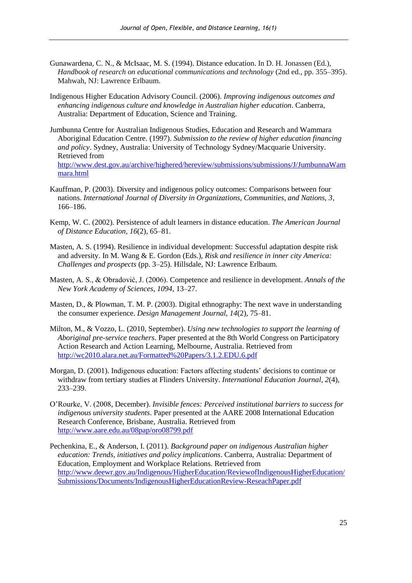- Gunawardena, C. N., & McIsaac, M. S. (1994). Distance education. In D. H. Jonassen (Ed.), *Handbook of research on educational communications and technology* (2nd ed., pp. 355–395). Mahwah, NJ: Lawrence Erlbaum.
- Indigenous Higher Education Advisory Council. (2006). *Improving indigenous outcomes and enhancing indigenous culture and knowledge in Australian higher education*. Canberra, Australia: Department of Education, Science and Training.
- Jumbunna Centre for Australian Indigenous Studies, Education and Research and Wammara Aboriginal Education Centre. (1997). *Submission to the review of higher education financing and policy*. Sydney, Australia: University of Technology Sydney/Macquarie University. Retrieved from [http://www.dest.gov.au/archive/highered/hereview/submissions/submissions/J/JumbunnaWam](http://www.dest.gov.au/archive/highered/hereview/submissions/submissions/J/JumbunnaWammara.html) [mara.html](http://www.dest.gov.au/archive/highered/hereview/submissions/submissions/J/JumbunnaWammara.html)
- Kauffman, P. (2003). Diversity and indigenous policy outcomes: Comparisons between four nations. *International Journal of Diversity in Organizations, Communities, and Nations, 3*, 166–186.
- Kemp, W. C. (2002). Persistence of adult learners in distance education. *The American Journal of Distance Education, 16*(2), 65–81.
- Masten, A. S. (1994). Resilience in individual development: Successful adaptation despite risk and adversity. In M. Wang & E. Gordon (Eds.), *Risk and resilience in inner city America: Challenges and prospects* (pp. 3–25). Hillsdale, NJ: Lawrence Erlbaum.
- Masten, A. S., & Obradović, J. (2006). Competence and resilience in development. *Annals of the New York Academy of Sciences, 1094*, 13–27.
- Masten, D., & Plowman, T. M. P. (2003). Digital ethnography: The next wave in understanding the consumer experience. *Design Management Journal, 14*(2), 75–81.
- Milton, M., & Vozzo, L. (2010, September). *Using new technologies to support the learning of Aboriginal pre-service teachers*. Paper presented at the 8th World Congress on Participatory Action Research and Action Learning, Melbourne, Australia. Retrieved from <http://wc2010.alara.net.au/Formatted%20Papers/3.1.2.EDU.6.pdf>
- Morgan, D. (2001). Indigenous education: Factors affecting students' decisions to continue or withdraw from tertiary studies at Flinders University. *International Education Journal, 2*(4), 233–239.
- O'Rourke, V. (2008, December). *Invisible fences: Perceived institutional barriers to success for indigenous university students*. Paper presented at the AARE 2008 International Education Research Conference, Brisbane, Australia. Retrieved from <http://www.aare.edu.au/08pap/oro08799.pdf>
- Pechenkina, E., & Anderson, I. (2011). *Background paper on indigenous Australian higher education: Trends, initiatives and policy implications*. Canberra, Australia: Department of Education, Employment and Workplace Relations. Retrieved from [http://www.deewr.gov.au/Indigenous/HigherEducation/ReviewofIndigenousHigherEducation/](http://www.deewr.gov.au/Indigenous/HigherEducation/ReviewofIndigenousHigherEducation/Submissions/Documents/IndigenousHigherEducationReview-ReseachPaper.pdf) [Submissions/Documents/IndigenousHigherEducationReview-ReseachPaper.pdf](http://www.deewr.gov.au/Indigenous/HigherEducation/ReviewofIndigenousHigherEducation/Submissions/Documents/IndigenousHigherEducationReview-ReseachPaper.pdf)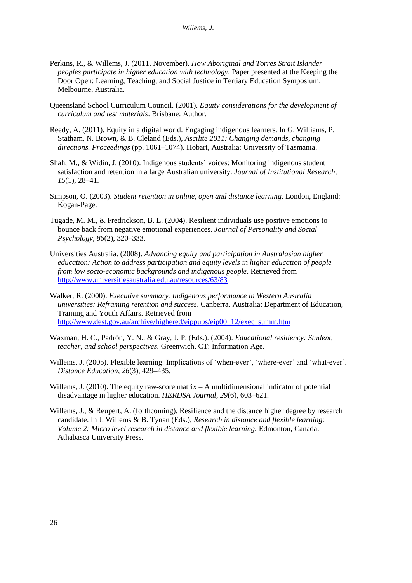- Perkins, R., & Willems, J. (2011, November). *How Aboriginal and Torres Strait Islander peoples participate in higher education with technology*. Paper presented at the Keeping the Door Open: Learning, Teaching, and Social Justice in Tertiary Education Symposium, Melbourne, Australia.
- Queensland School Curriculum Council. (2001). *Equity considerations for the development of curriculum and test materials*. Brisbane: Author.
- Reedy, A. (2011). Equity in a digital world: Engaging indigenous learners. In G. Williams, P. Statham, N. Brown, & B. Cleland (Eds.), *Ascilite 2011: Changing demands, changing directions. Proceedings* (pp. 1061–1074). Hobart, Australia: University of Tasmania.
- Shah, M., & Widin, J. (2010). Indigenous students' voices: Monitoring indigenous student satisfaction and retention in a large Australian university. *Journal of Institutional Research, 15*(1), 28–41.
- Simpson, O. (2003). *Student retention in online, open and distance learning*. London, England: Kogan-Page.
- Tugade, M. M., & Fredrickson, B. L. (2004). Resilient individuals use positive emotions to bounce back from negative emotional experiences. *Journal of Personality and Social Psychology, 86*(2), 320–333.
- Universities Australia. (2008). *Advancing equity and participation in Australasian higher education: Action to address participation and equity levels in higher education of people from low socio-economic backgrounds and indigenous people*. Retrieved from <http://www.universitiesaustralia.edu.au/resources/63/83>
- Walker, R. (2000). *Executive summary. Indigenous performance in Western Australia universities: Reframing retention and success*. Canberra, Australia: Department of Education, Training and Youth Affairs. Retrieved from [http://www.dest.gov.au/archive/highered/eippubs/eip00\\_12/exec\\_summ.htm](http://www.dest.gov.au/archive/highered/eippubs/eip00_12/exec_summ.htm)
- Waxman, H. C., Padrón, Y. N., & Gray, J. P. (Eds.). (2004). *Educational resiliency: Student, teacher, and school perspectives.* Greenwich, CT: Information Age.
- Willems, J. (2005). Flexible learning: Implications of 'when-ever', 'where-ever' and 'what-ever'. *Distance Education, 26*(3), 429–435.
- Willems, J. (2010). The equity raw-score matrix  $-A$  multidimensional indicator of potential disadvantage in higher education. *HERDSA Journal, 29*(6), 603–621.
- Willems, J., & Reupert, A. (forthcoming). Resilience and the distance higher degree by research candidate. In J. Willems & B. Tynan (Eds.), *Research in distance and flexible learning: Volume 2: Micro level research in distance and flexible learning.* Edmonton, Canada: Athabasca University Press.